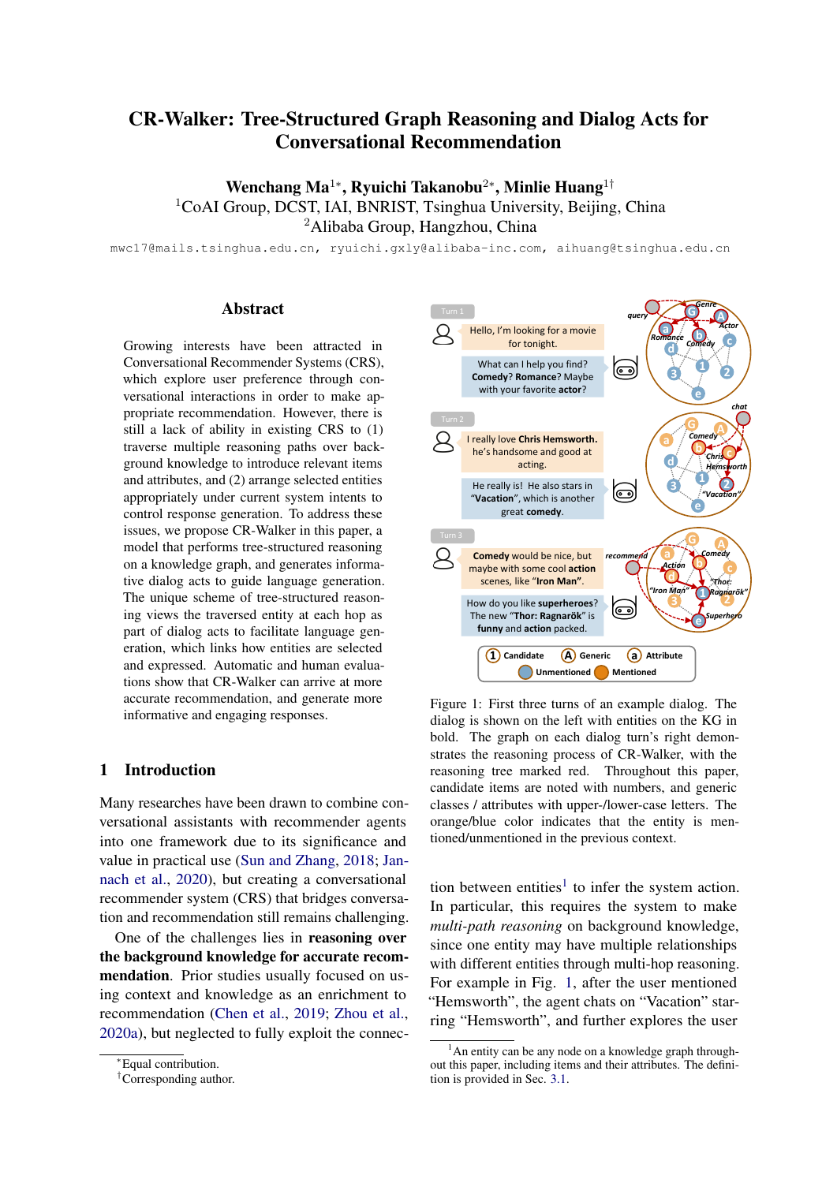# CR-Walker: Tree-Structured Graph Reasoning and Dialog Acts for Conversational Recommendation

Wenchang Ma<sup>1∗</sup>, Ryuichi Takanobu<sup>2∗</sup>, Minlie Huang<sup>1†</sup>  $1$ CoAI Group, DCST, IAI, BNRIST, Tsinghua University, Beijing, China <sup>2</sup>Alibaba Group, Hangzhou, China

mwc17@mails.tsinghua.edu.cn, ryuichi.gxly@alibaba-inc.com, aihuang@tsinghua.edu.cn

# **Abstract**

Growing interests have been attracted in Conversational Recommender Systems (CRS), which explore user preference through conversational interactions in order to make appropriate recommendation. However, there is still a lack of ability in existing CRS to (1) traverse multiple reasoning paths over background knowledge to introduce relevant items and attributes, and (2) arrange selected entities appropriately under current system intents to control response generation. To address these issues, we propose CR-Walker in this paper, a model that performs tree-structured reasoning on a knowledge graph, and generates informative dialog acts to guide language generation. The unique scheme of tree-structured reasoning views the traversed entity at each hop as part of dialog acts to facilitate language generation, which links how entities are selected and expressed. Automatic and human evaluations show that CR-Walker can arrive at more accurate recommendation, and generate more informative and engaging responses.

# 1 Introduction

Many researches have been drawn to combine conversational assistants with recommender agents into one framework due to its significance and value in practical use [\(Sun and Zhang,](#page-9-0) [2018;](#page-9-0) [Jan](#page-8-0)[nach et al.,](#page-8-0) [2020\)](#page-8-0), but creating a conversational recommender system (CRS) that bridges conversation and recommendation still remains challenging.

One of the challenges lies in reasoning over the background knowledge for accurate recommendation. Prior studies usually focused on using context and knowledge as an enrichment to recommendation [\(Chen et al.,](#page-8-1) [2019;](#page-8-1) [Zhou et al.,](#page-10-0) [2020a\)](#page-10-0), but neglected to fully exploit the connec-

<span id="page-0-1"></span>

Figure 1: First three turns of an example dialog. The dialog is shown on the left with entities on the KG in bold. The graph on each dialog turn's right demonstrates the reasoning process of CR-Walker, with the reasoning tree marked red. Throughout this paper, candidate items are noted with numbers, and generic classes / attributes with upper-/lower-case letters. The orange/blue color indicates that the entity is mentioned/unmentioned in the previous context.

tion between entities<sup>[1](#page-0-0)</sup> to infer the system action. In particular, this requires the system to make *multi-path reasoning* on background knowledge, since one entity may have multiple relationships with different entities through multi-hop reasoning. For example in Fig. [1,](#page-0-1) after the user mentioned "Hemsworth", the agent chats on "Vacation" starring "Hemsworth", and further explores the user

<sup>∗</sup>Equal contribution.

<sup>†</sup>Corresponding author.

<span id="page-0-0"></span> $<sup>1</sup>$ An entity can be any node on a knowledge graph through-</sup> out this paper, including items and their attributes. The definition is provided in Sec. [3.1.](#page-2-0)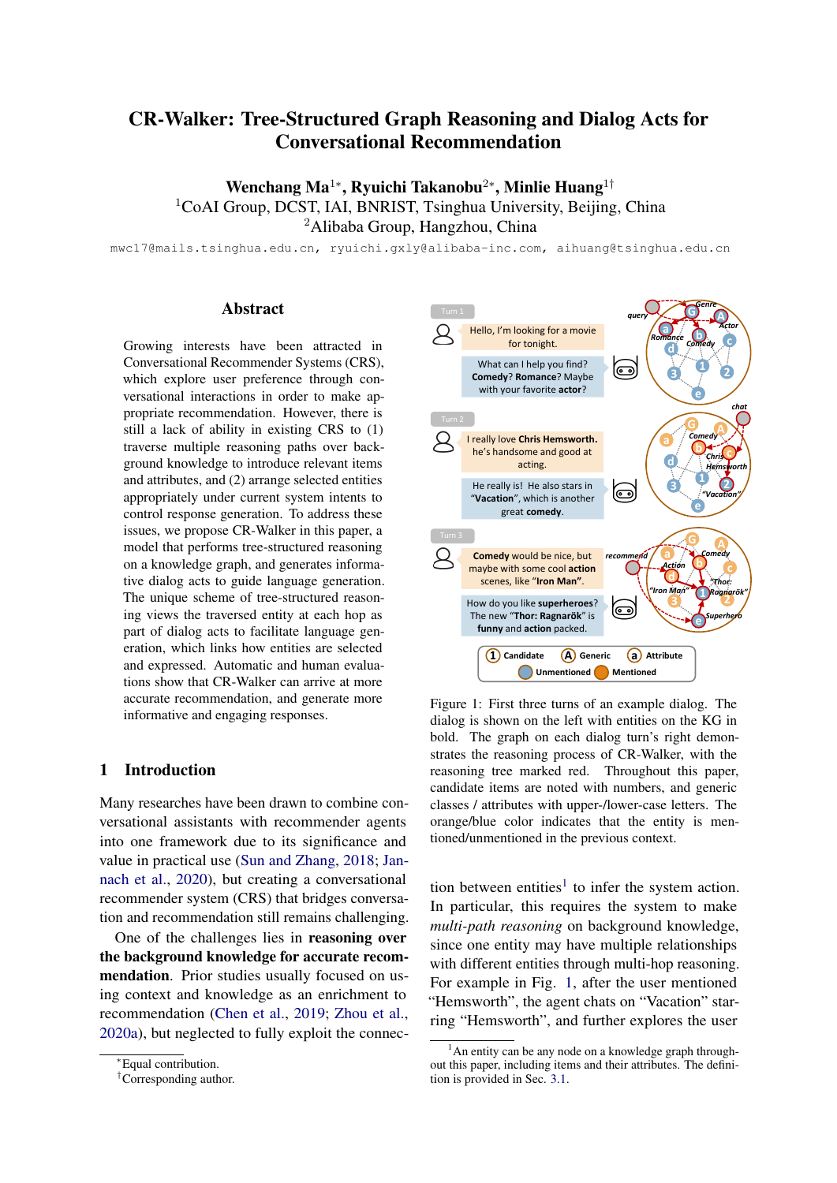interests in "Comedy" movies. It then recommends "Thor" based on several distinct paths of reasoning over user preference ("comedy" & "action").

Another challenge lies in fully utilizing the selected entities in response generation. Since different dialog actions can be applied in conversational recommendation, selected entities needs to be properly expressed with the guide of *dialog acts*, an abstract representation of dialog semantics and intentions, in order to form natural, informative, and engaging utterances to interact with users. However, most previous works [\(Moon et al.,](#page-9-1) [2019;](#page-9-1) [Lei et al.,](#page-9-2) [2020a\)](#page-9-2) stopped at inferring entities without modeling response generation. In Fig. [1](#page-0-1) again, the agent first asks the user's preferred genres and actors, and then talks about the star and the movie to engage the user in the conversation, and last recommends a movie based on the user interests. In addition, the agent provides explanations at the third turn to make recommendation more interpretable and persuasive.

To address these issues, we propose Conversational Recommendation Walker (CR-Walker) in this paper. It first selects a system intent to decide whether the system asks for information, chats about something, or makes a recommendation. Then, it performs tree-structured reasoning on a knowledge graph (KG) and dialog context, creating a reasoning tree comprised of relevant entities to be introduced in response. The hierarchical arrangement of entities on the tree preserves the logical selection order under current system intents, which is transformed to dialog acts. The linearized representation of dialog acts further guides on generating informative and engaging responses with pre-trained language models. Results show that CR-Walker outperforms strong CRS on two public datasets in recommendation and generation tasks.

In brief, our contributions are summarised be-low<sup>[2](#page-1-0)</sup>: (1) CR-Walker conducts tree-structured reasoning on a knowledge graph and dialog context to explore background knowledge and exploit connection between entities for more accurate recommendation; (2) CR-Walker transforms the reasoning tree into dialog acts that abstract the semantics and hierarchy of selected entities, and thereby generates more engaging responses for recommendation; (3) We evaluate CR-Walker on two conversational recommendation datasets, achieving outstanding

performance in automatic and manual evaluation, from both recommendation and conversation aspects.

# <span id="page-1-1"></span>2 Related Work

Conversational Recommender Systems (CRS) learn and model user preference through dialog, which support a richer set of user interactions in recommendation [\(Jannach et al.,](#page-8-0) [2020\)](#page-8-0). Previous CRS can be roughly categorized into two types.

One is recommendation-biased CRS [\(Sun and](#page-9-0) [Zhang,](#page-9-0) [2018;](#page-9-0) [Zhang et al.,](#page-10-1) [2018,](#page-10-1) [2020;](#page-10-2) [Zou et al.,](#page-10-3) [2020\)](#page-10-3) that asks questions about user preference over pre-defined slots or attributes to recommend items. As system response can be grouped into some pre-defined intents, it can be implemented with the help of language templates. Under this simplified setting, approaches of this type do not model language generation explicitly [\(Lei et al.,](#page-9-2) [2020a](#page-9-2)[,b\)](#page-9-3). Such dialogs can only provide limited actions without revealing why the system makes such recommendation (e.g. by asking on a fixed set of attributes) [\(Christakopoulou et al.,](#page-8-2) [2016,](#page-8-2) [2018\)](#page-8-3), thus leading to unsatisfactory user experience. Recently, [Moon et al.](#page-9-1) [\(2019\)](#page-9-1) improves knowledge selection by assuming a single chain of reasoning throughout the conversation. It relies on finegrained annotations that follow single-path reasoning scheme. However, multiple entities can be selected at each reasoning hop (e.g. recommend several items within one turn, each item with different reasons). Therefore, we propose tree-structured reasoning in this work to enable CRS to select multiple entities through multi-path reasoning for accurate recommendation. [Xu et al.](#page-9-4) [\(2020\)](#page-9-4) introduces a dynamic user memory graph to address the reasoning of user knowledge in CRS, which is beyond the scope of this paper.

The other is dialog-biased CRS [\(Li et al.,](#page-9-5) [2018;](#page-9-5) [Kang et al.,](#page-8-4) [2019;](#page-8-4) [Liao et al.,](#page-9-6) [2019;](#page-9-6) [Liu et al.,](#page-9-7) [2020\)](#page-9-7) that makes recommendations using free text, which have much flexibility to influence how the dialog continues. As these systems suffer from existing limitations in NLP (e.g. understand preference implicitly from user expression), most methods incorporate external information such as KG and user logs to enhance the dialog semantics [\(Yu](#page-10-4) [et al.,](#page-10-4) [2019;](#page-10-4) [Zhou et al.,](#page-10-0) [2020a\)](#page-10-0) or update the user representation [\(Zhang et al.,](#page-10-5) [2019;](#page-10-5) [Chen et al.,](#page-8-1) [2019\)](#page-8-1). However, these methods do not capture higher-level strategic behaviors in recommendation

<span id="page-1-0"></span><sup>&</sup>lt;sup>2</sup>The codes are released at  $https://github.com/$ [truthless11/CR-Walker](https://github.com/truthless11/CR-Walker)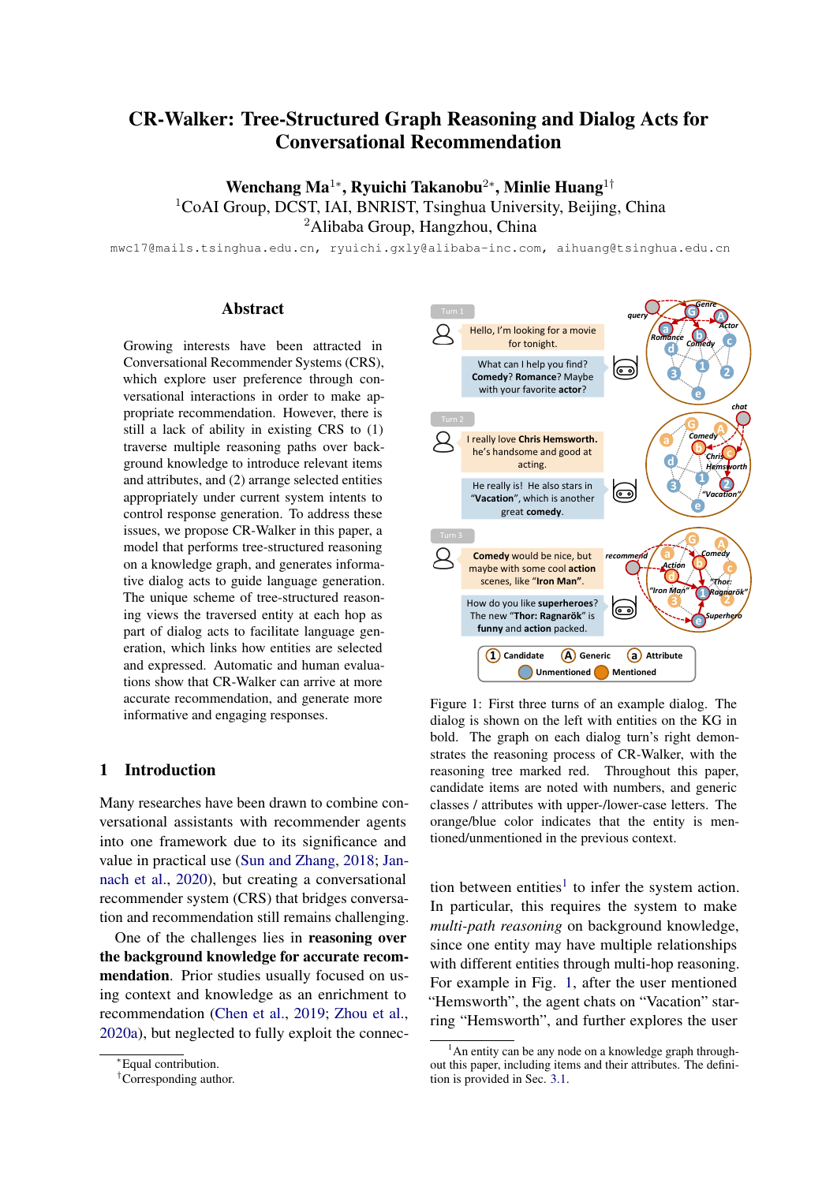<span id="page-2-1"></span>

Figure 2: Left: Illustration of CR-Walker's overall architecture. CR-Walker first decides the system intent and then applies walker cells to perform tree-structured reasoning on the knowledge graph in two stages. The transformed dialog acts are used to guide response generation. Right: Detailed structure for a single walker cell. A walker cell calculates the similarity between the entities on a graph and the context embedding that integrates utterance embedding and user portrait. Entity selection is learned by logistic regression to enable multiple selections.

to guide the conversation. To solve this issue, [Zhou](#page-10-6) [et al.](#page-10-6) [\(2020b\)](#page-10-6) incorporates topic threads to enforce transitions actively towards final recommendation, but it models CRS as an open-ended chit-chat task, which does not fully utilize relations between items and their attributes in response. In contrast, CRS can be regarded as a variation of task-oriented dialog system that supports its users in achieving recommendation-related goals through multi-turn conversations [\(Tran et al.,](#page-9-8) [2020\)](#page-9-8). Inspired by the use of dialog acts [\(Traum,](#page-9-9) [1999\)](#page-9-9), we choose a set of system dialog acts in CRS to facilitate information filtering and decision making as task-oriented dialog policy [\(Takanobu et al.,](#page-9-10) [2019,](#page-9-10) [2020\)](#page-9-11) does.

# 3 CR-Walker: Conversational Recommendation Walker

In this section, we start from defining the key concepts of knowledge graph and dialog acts used in CR-Walker. As illustrated in Fig. [2,](#page-2-1) CR-Walker works as follows: First of all, dialog history is represented in two views: one is utterance embedding in the content view, and the other is user portrait in the user interest view. Then, CR-Walker makes reasoning on a KG to obtain a reasoning tree, which is treated as a dialog act. Afterwards, the treestructured dialog act is linearized to a sequence, on which CR-Walker finally generates responses with a conditional language generation module.

# <span id="page-2-0"></span>3.1 Key Concepts

We construct a knowledge graph  $G = (E, R)$  as follows: the entities  $E$  on the graph are divided into three categories, namely candidate items, attributes, and generic classes. There are various relations  $R$  among these entities. Each candidate item is related to a set of attributes, while each attribute is connected to its corresponding generic class. There might also exist relationships between different attributes. Taking movie recommendation as an example, the candidate movie *Titanic* is linked to attributes *Romance*, *Leonardo DiCaprio* and *James Cameron*, and these three attributes are linked to generic classes *Genre*, *Actor* and *Director*, respectively.

We also define a set of system actions in CRS. We abstract three different system intents to represent actions commonly used in a dialog policy: recommendation that provides item recommendation and persuades the user with supporting evidence, query that asks for information to clarify user needs or explore user preference, and chat that talks on what has been mentioned to drive the dialog naturally and smoothly. Example utterances of three intents are shown in Fig. [1.](#page-0-1) Then, we define a dialog act  $A$  as an assembly of a system intent and entities selected by the system, along with their hierarchy relations.

# <span id="page-2-2"></span>3.2 Reasoning Process

CR-Walker learns to reason over KG to select relevant and informative entities for accurate recommendation and generating engaging conversations. Considering the large scale of KG and different system actions in CRS, we design several two-hop reasoning rules to help CR-Walker narrow down the search space, thereby making the reasoning pro-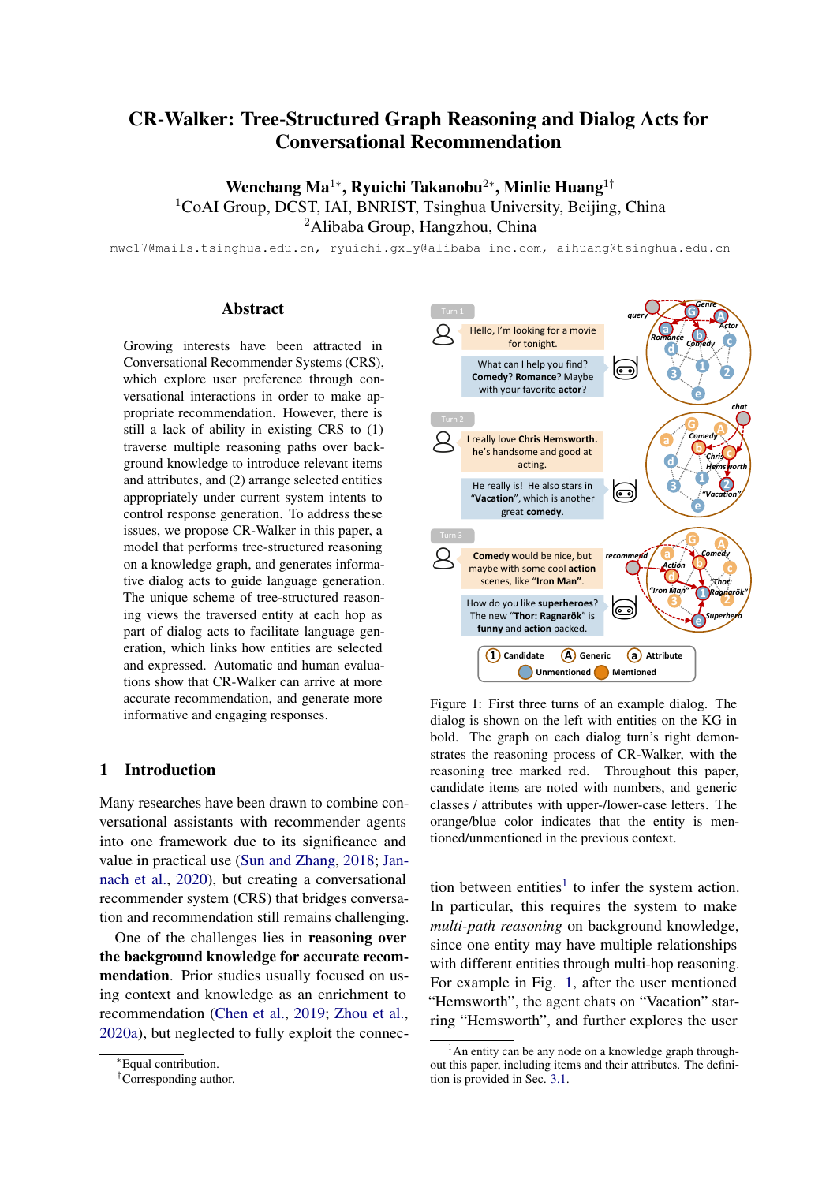<span id="page-3-0"></span>

| Intent            | Hop <sub>1</sub>                                                                | Hop 2        |
|-------------------|---------------------------------------------------------------------------------|--------------|
|                   | Recommend mentioned attributes candidate items<br>+ mentioned items' attributes |              |
| Query             | generic classes                                                                 | attributes   |
| Chat <sup>.</sup> | mentioned entities                                                              | all entities |

Table 1: Reasoning rules for narrowing down CR-Walker's search space. For each system intent, we only maintain the legal entities at each hop during reasoning.

cess more efficient on large KG. As shown in Table [1,](#page-3-0) all the reasoning rules are designed in line with the conceptual definition of corresponding intents. The reasoning process of CR-Walker starts from one of the three intents. It then tries to explore intermediate entities as a bridge to the final recommendation, and finally reaches the target entities at the second hop.

As explained in Sec. [2,](#page-1-1) multiple entities can be selected at each hop in CRS, therefore forming a tree structure on the graph instead of a single path as in previous work [\(Moon et al.,](#page-9-1) [2019\)](#page-9-1). The child entities at the second hop are *neighboring* to their parent entities at the first hop on the graph, except when the intent is "recommend". We allow all candidate items to be recommended, even if some of them have no connection with other entities on the graph. In addition, we maintain the status of each entity whether the entity is mentioned or not in the context, to facilitate reasoning during interaction.

#### 3.3 Dialog and Knowledge Representation

In this subsection, we describe how to represent dialog context, external knowledge and user interests in CR-Walker.

Utterance Embedding We formulate the dialog history  $D = fx_1, y_1, \ldots, x_{t-1}, y_{t-1}, x_t,,$  where  $x_t$  and  $y_t$  is user/system utterance respectively. At each dialog turn  $t$ , we first use BERT [\(Devlin et al.,](#page-8-5) [2019\)](#page-8-5) to encode last system utterance  $y_{t-1}$  and current user utterance  $x_t$  successively. The embedding of "[CLS]" token of  $x_t$  is applied as the turn's representation, denoted as  $BERT([y_{t-1}; x_t])$ . Then the utterance embedding  $u_t$  is obtained simply through a LSTM over BERT $([y_{t-1}; x_t])$  to capture the sentence-level dependencies. Formally,

$$
\boldsymbol{u}_t = \text{LSTM}(\boldsymbol{u}_{t-1}, \text{BERT}([y_{t-1}; x_t])). \qquad (1)
$$

The hidden state of LSTM  $u_t \, 2 \, \mathbb{R}^d$  is taken as the utterance embedding to represent dialog context.

Entity Embedding To introduce external structured knowledge in CR-Walker, we extract KG from DBpedia [\(Auer et al.,](#page-8-6) [2007\)](#page-8-6) and add generic classes (see Sec. [3.1\)](#page-2-0). We encode the graph using R-GCN [\(Schlichtkrull et al.,](#page-9-12) [2018\)](#page-9-12), by virtue of its capability of modeling neighboring connections more accurately by considering different relations. Formally, for each entity  $e \, 2 \, E$ , the entity embedding  $h_e^{(l)}$  2  $\mathbb{R}^d$  at each layer l is calculated as:

$$
\boldsymbol{h}_{e}^{(l+1)} = \sigma(\sum_{r \in \mathcal{R}} \sum_{e' \in \mathcal{N}_e^r} \frac{1}{jN_{e'}^{r}} \boldsymbol{W}_r^{(l)} \boldsymbol{h}_{e'}^{(l)} + \boldsymbol{W}_0^{(l)} \boldsymbol{h}_e^{(l)}),
$$
\n(2)

where  $\mathcal{N}_e^r$  denotes the set of neighboring entities of e under the relation r, and  $\boldsymbol{W}_r^{(l)}$ ,  $\boldsymbol{W}_0^{(l)}$   $\supseteq \mathbb{R}^{d \times d}$  are learnable matrices for integrating relation-specific information from neighbors and the current layer's features respectively. At the final layer  $L$ , the embedding  $h_e^{(L)}$  is taken as the entity representation, and is denoted as  $h_e \supseteq \mathbb{R}^d$  in the following text.

User Portrait We build a user portrait to represent user interests using both dialog and KG here. Given the dialog history, we performed *named entity recognition* (NER) to identify entities mentioned in the previous user utterances  $fx_1, \ldots, x_{t-1}, x_t$ q using spaCy, then linked them to the entities in the KG with simple fuzzy string matching. The status of identified entities is updated as "mentioned". We thus obtain all the representation of mentioned entities  $M_t$  2 R<sup>d×|M<sub>t</sub>|</sup> by looking up entity embedding:

<span id="page-3-3"></span>
$$
\bm{M}_t = (\bm{h}_1, \bm{h}_2, ..., \bm{h}_{|M_t|}).
$$

Following [Chen et al.](#page-8-1) [\(2019\)](#page-8-1), we calculate the user portrait  $p_t$  2  $\mathbb{R}^d$  via self-attention:

$$
\alpha_t = \text{softmax}(w_p \ \text{tanh}(W_p M_t)),
$$
  
\n
$$
p_t = \alpha_t \ M_t.
$$
 (3)

#### 3.4 Tree-Structured Graph Reasoning

The reasoning process of CR-Walker initiates from a system intent as the start point on the graph, and expands into multiple paths to get a reasoning tree.

<span id="page-3-1"></span>First of all, we treat intent selection as a simple 3-way classification problem parameterized by  $\theta_i$ :

<span id="page-3-2"></span>
$$
p_{\theta_i}(y_t^{int}|x_t) = \text{softmax}(\boldsymbol{W}_{int}^2 \text{ReLU}(\boldsymbol{W}_{int}^1 \boldsymbol{u}_t)),
$$
  

$$
L_{int} = \log p_{\theta_i}(y_t^{int}|x_t).
$$
 (4)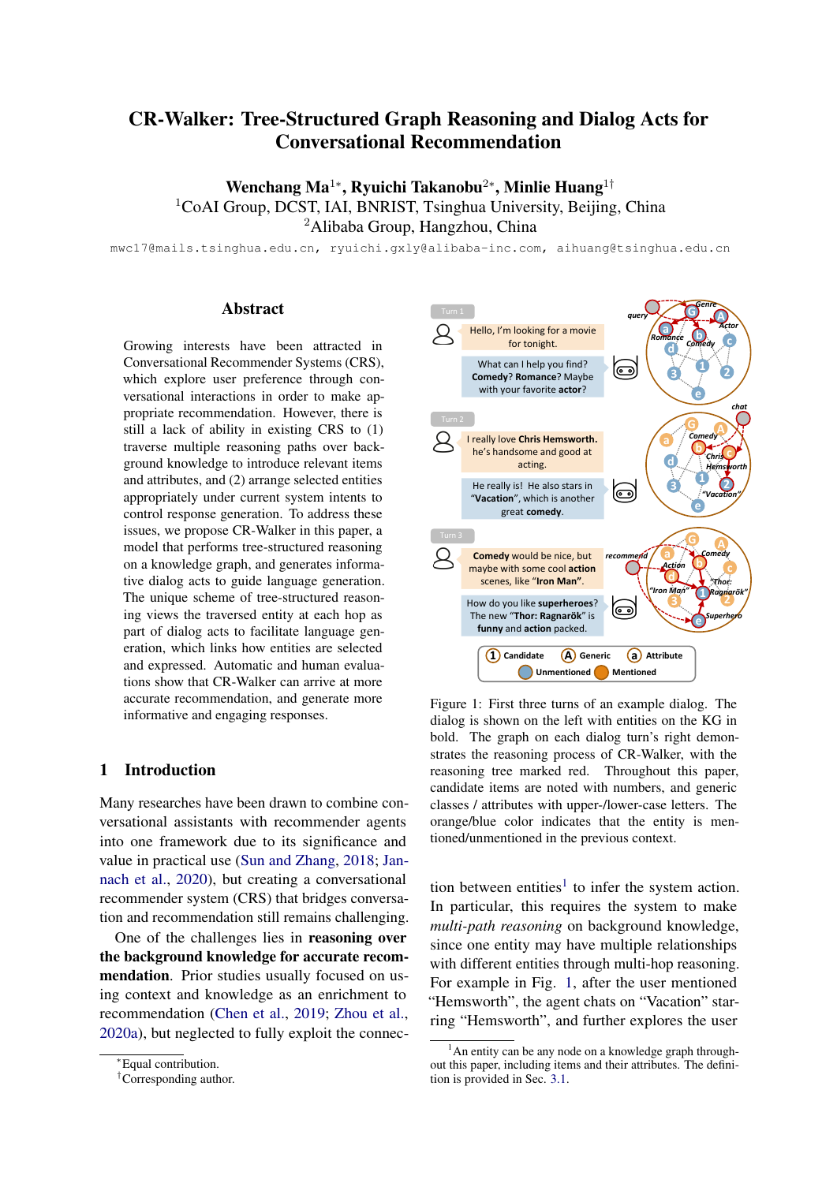Noting that we only use utterance embedding  $u_t$ as input, since we empirically find that introducing  $p_t$  does not promote the performance of intent selection.

To expand a system intent into a reasoning tree, we propose the *walker cell*, a neural module shown in Fig. [2.](#page-2-1) Particularly, each time a walker cell C performs one-hop reasoning to select entities, to expand the tree from a given intent  $i$ , or a given entity e at hop  $n=1$  or  $>1$  respectively. It first integrates the dialog history representation via a gate mechanism to obtain context embedding  $c_t$ :

$$
\gamma^{(n)} = \begin{cases}\n\sigma(\boldsymbol{w} \ [\boldsymbol{u}_t; \boldsymbol{p}_t; \boldsymbol{i}_t]), & n=1 \\
\sigma(\boldsymbol{w} \ [\boldsymbol{u}_t; \boldsymbol{p}_t; \boldsymbol{i}_t; \boldsymbol{h}_e]), & n>1\n\end{cases}
$$
\n
$$
\mathbf{c}_t^{(n)} = \gamma^{(n)} \ \boldsymbol{u}_t + (1 \ \gamma^{(n)}) \ \boldsymbol{p}_t,\tag{5}
$$

where  $i_t \nightharpoonup \mathbb{R}^d$  indicates trainable embedding of the selected intent. The cell then outputs the score of each entity  $e'$  using its entity embedding  $h_{e'}$ :

$$
\hat{s}_{e'} = \sigma(\boldsymbol{h}_{e'} \sum_{j=1}^{n} c_t^{(j)}).
$$
 (6)

The estimated selection score  $\hat{s}_{e'}$  indicates whether  $e'$  is selected for tree expansion. By incorporating  $\bm{c}^{(j$  $t_t^{(j \leq n)}$ , the current reasoning hop *n* is aware of the previous reasoning hop  $j$ . We describe this process of applying a single walker cell for entity selection from  $e$  (similar for intent  $i$ ) as a function below:

WALK
$$
(e) = \frac{fe'}{3} \hat{s}_{e'} > \tau, e' \ 2 \ Z_e^{(n)} g,
$$
 (7)

where  $Z_e^{(n)}$  is the set of legal entities to be selected starting from e according to the reasoning rule in Sec. [3.2,](#page-2-2) and  $\tau$  is a threshold hyper-parameter.

In practice, we select at most  $m$  entities at hop 1 to control the reasoning tree's width. The reasoning path stops when no entities are selected at a certain hop or reaches hop 2.

#### 3.5 Conditional Language Generation

Having selected the entities on the reasoning tree, we generate system response  $y_t$  conditioned on the user utterance  $x_t$  and tree-structured dialog act  $A_t$ . We formulate this as a language generation problem. The goal is to build a statistical model parameterized by  $\theta_q$  as follows:

$$
p_{\theta_g}(y_t|x_t, A_t) = \prod_{k=1}^K p_{\theta_g}(y_{k,t}|y_{< k,t}, x_t, A_t). \tag{8}
$$

To facilitate response generation using a pretrained language model (PLM), we convert the dialog act into a token sequence. As a dialog act of CR-Walker contains an intent and selected entities, and it is arranged in a tree structure, we can linearize the dialog act into a token sequence in the same way that a parser serializes a tree into a string with *preorder traversal*. As shown in Fig. [2,](#page-2-1) the brackets characterize the hierarchy of the dialog act with regard to the logical order of entity selection.

In this paper, we employ GPT-2 [\(Radford et al.,](#page-9-13) [2019\)](#page-9-13) as the backbone for response generation, where the model successively encodes the user utterance  $x_t$  and sequence dialog act  $A_t$  as input, and then decodes the response  $y_t$  in an auto-regressive generation process. During inference, Top- $p$  sampling [\(Holtzman et al.,](#page-8-7) [2020\)](#page-8-7) is used for response decoding.

#### 3.6 Model Optimization

At each turn  $t$ , we train the parameters of walker cells  $\theta_w$  at each hop n using standard logistic regression loss:

<span id="page-4-4"></span>
$$
L_n = \sum_{e \in \mathcal{E}_t^{(n-1)}} \sum_{e' \in \mathcal{Z}_e^{(n)}} s_{e'} \log(\hat{s}_{e'})
$$
  
(1  $s_{e'}) \log(1 \hat{s}_{e'})$ , (9)

<span id="page-4-3"></span>where  $s_{e'}$  2 f), 1g is the label indicating the selection of entity  $e'$ , and  $E_t^{(n-1)}$  $t^{(n-1)}$  denotes the extracted entity set at dialog turn t at hop  $n-1^3$  $n-1^3$ . Training the generation model is performed via maximizing the log-likelihood (MLE) of the conditional probabilities in Eq. [8](#page-4-1) over the user utterance:

<span id="page-4-5"></span>
$$
L_{gen} = \sum_{k=1}^{K} \log p_{\theta_g}(y_{k,t}/y_{
$$

Noting that we use the extracted dialog acts in the corpus during training.

We jointly optimize all trainable parameters mentioned above. The final loss for optimization  $\angle$  is a weighted sum of all losses<sup>[4](#page-4-2)</sup>:

<span id="page-4-6"></span>
$$
L = L_{int} + \sum_{n=1}^{2} \lambda_n L_n + L_{gen}.
$$
 (11)

<span id="page-4-2"></span><span id="page-4-0"></span><sup>&</sup>lt;sup>3</sup>Specially,  $E_t^{(0)}$  is the singleton of selected intent.

<span id="page-4-1"></span><sup>&</sup>lt;sup>4</sup>The outlined algorithm and implementation details of CR-Walker are presented in the appendix.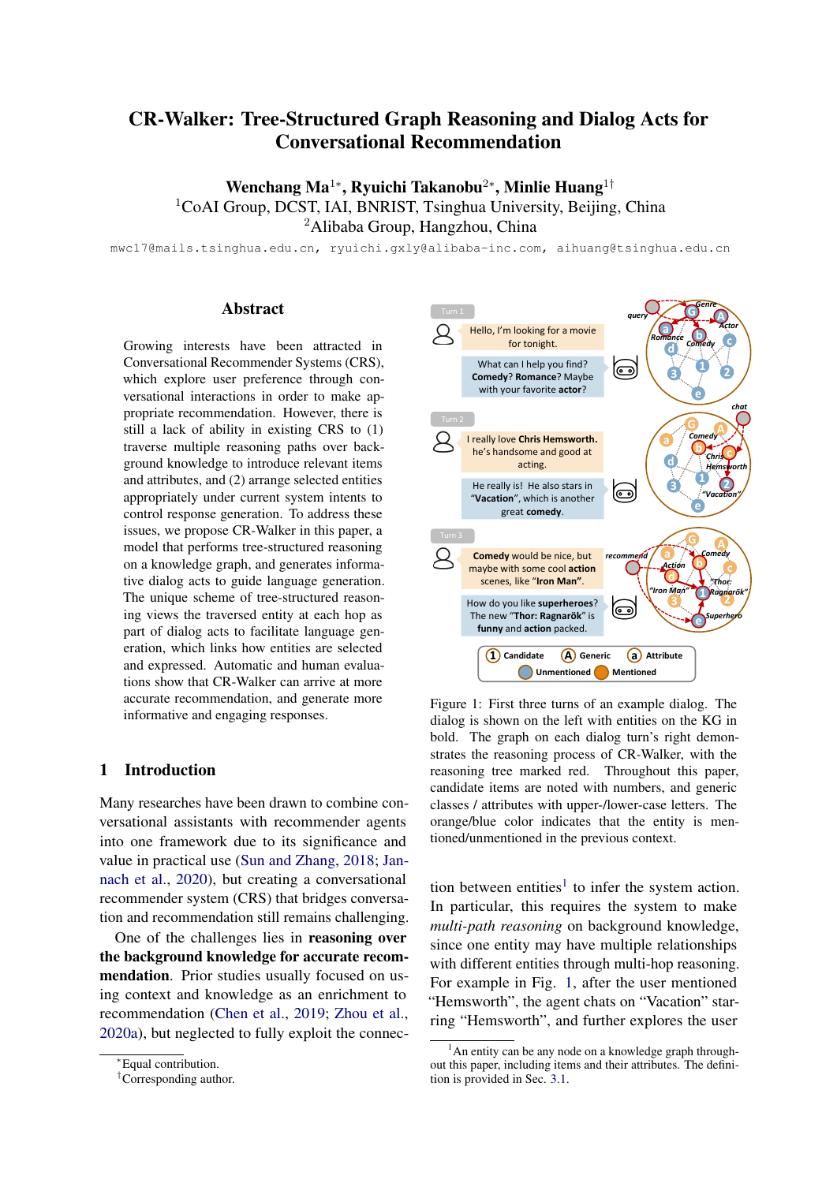# 4 Experimental Setting

# 4.1 Data

We use two public conversational recommendation datasets to verify the effectiveness of CR-Walker. (1) ReDial [\(Li et al.,](#page-9-5) [2018\)](#page-9-5) is collected by crowdsourcing workers from Amazon Mechanical Turk (AMT). Two paired workers are assigned with a role of either recommender or seeker. At least 4 different movies are mentioned in each conversation. Each movie mentioned in the dialog is annotated explicitly. (2) GoRecDial [\(Kang et al.,](#page-8-4) [2019\)](#page-8-4) is collected in a similar way using ParlAI. In each dialog, each worker is given a set of 5 movies with corresponding descriptions. The seeker's set represents his or her watching history, and the recommender's set represents candidate movies to choose from. The recommender should recommend the correct movie among the candidates to the seeker. We then construct the KG and perform entity linking separately for GoRecDial and Redial.<sup>[5](#page-5-0)</sup>

# 4.2 Baselines

We have compared CR-Walker with several strong approaches in Redial: (1) ReDial [\(Li et al.,](#page-9-5) [2018\)](#page-9-5): a benchmark model of ReDial that applies an autoencoder recommender, a RNN-based NLG and a sentiment prediction module. (2) DCR [\(Liao et al.,](#page-9-6) [2019\)](#page-9-6): *Deep Conversational Recommender* uses a pointer network to incorporate global topic control and GCN-based recommendation in response generation. (3) KBRD [\(Chen et al.,](#page-8-1) [2019\)](#page-8-1): *Knowledge-Based Recommender Dialog* enriches user representation with a KG to give responses and recommendation following the user interests. (4) KGSF [\(Zhou et al.,](#page-10-0) [2020a\)](#page-10-0): *KG-Based Semantic Fusion* incorporates both word-oriented and entity-oriented KGs to enhance the data representations in CRS.

We also adopt several conversation recommendation methods as the baselines in GoRecDial: (1) BERT [\(Devlin et al.,](#page-8-5) [2019\)](#page-8-5): A BERT fine-tuned on GoRecDial, which encodes dialog contexts and movie descriptions. BERT features are used for response retrieval and movie recommendation. (2) R-GCN+GPT: A joint model combining a R-GCN [\(Schlichtkrull et al.,](#page-9-12) [2018\)](#page-9-12) for movie recommendation with a Transformer-based language model [\(Vaswani et al.,](#page-9-14) [2017\)](#page-9-14) for response generation. The movies are scored using similar structures within

our walker cell by calculating the dot-product between encoder hidden states and R-GCN embeddings. (3) GoRecDial [\(Kang et al.,](#page-8-4) [2019\)](#page-8-4): a benchmark model of GoRecDial, which is trained via multi-task supervised learning and bot-play learning by formulating the recommendation task as a task-oriented game.

#### 5 Results

<span id="page-5-1"></span>

| Model            |     | Recommendation |      |      |  |  |
|------------------|-----|----------------|------|------|--|--|
|                  | R@1 | R@10           | R@50 | Cov. |  |  |
| ReDial           | 2.3 | 12.9           | 28.7 | 5.8  |  |  |
| DCR              | 2.7 | 14.8           | 30.6 | 1.5  |  |  |
| <b>KBRD</b>      | 3.0 | 16.3           | 33.8 | 11.2 |  |  |
| <b>KGSF</b>      | 3.9 | 18.3           | 37.8 | 12.2 |  |  |
| <b>CR-Walker</b> | 3.7 | 17.6           | 37.1 | 14.7 |  |  |
| $-depth=1$       | 2.9 | 14.9           | 34.3 | 11.4 |  |  |
| +ConceptNet      | 4.0 | 18.7           | 37.6 | 15.2 |  |  |

Table 2: Automatic evaluation of recommendation tasks on *ReDial*.

<span id="page-5-2"></span>

|                         | Generation   |              |              | Knowledge    |              |              |
|-------------------------|--------------|--------------|--------------|--------------|--------------|--------------|
| Model                   | <b>BLEU</b>  | Dist-2       | Dist-3       | Prec.        | Rec.         | F1           |
| ReDial                  | 21.9         | 3.72         | 5.24         | 28.3         | 23.0         | 24.0         |
| <b>DCR</b>              | 21.9         | 1.91         | 3.12         | 48.1         | 37.7         | 40.8         |
| <b>KBRD</b>             | 22.8         | 4.92         | 9.21         | 42.1         | 33.3         | 35.9         |
| <b>KGSF</b>             | 18.6         | 4.00         | 5.34         | 37.7         | 32.0         | 33.2         |
| CR-Walker<br>$-depth=1$ | 26.6<br>28.0 | 21.2<br>19.2 | 48.1<br>40.8 | 46.3<br>50.0 | 60.3<br>47 7 | 47.7<br>45.1 |

Table 3: Automatic evaluation of generation tasks on *ReDial*.

<span id="page-5-3"></span>

|             | Recommendation |      |      |      | Gen.        |
|-------------|----------------|------|------|------|-------------|
| Model       | T@1            | T@3  | C@1  | C@3  | <b>BLEU</b> |
| RERT        | 25.5           | 66.3 | 26.4 | 68.3 | 23.9        |
| $R-GCN+GPT$ | 75.6           | 95.7 | 76.1 | 96.3 | 25.2        |
| GoRecDial   | 77.8           | 97.1 | 78.2 | 97.7 | 27.4        |
| CR-Walker   | 81.1           | 97.5 | 81.3 | 98.1 | 29.6        |

Table 4: Automatic evaluation on *GoRecDial*, where users chat in the context of their watching history.

#### 5.1 Automatic Evaluation

The results on Redial and GoRecDial are shown in Table [2,](#page-5-1) [3](#page-5-2) and [4.](#page-5-3) As can be seen, CR-Walker outperforms most baselines in both item recommendation and response generation.

<span id="page-5-0"></span><sup>&</sup>lt;sup>5</sup>The KG construction details and dataset statistics are shown in the appendix.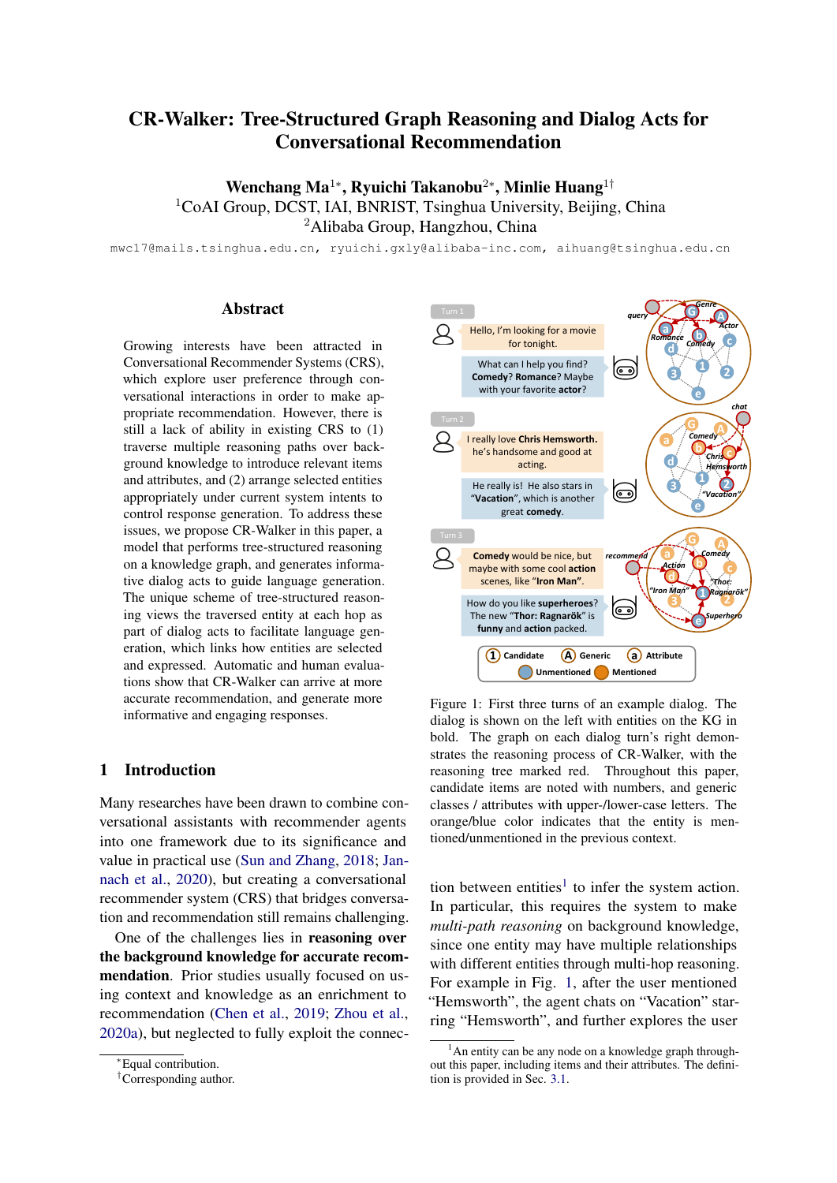<span id="page-6-0"></span>

Figure 3: CR-Walker's recommendation performance with regard to the number of selected nodes at the first hop during reasoning. Most metrics improve as more supporting entities are allowed to be selected.

Item Recommendation We evaluate CR-Walker on item recommendation quality in different settings using metrics proposed in the original datasets: In Redial, we adopt *Recall@k* for evaluation since there are multiple movies recommended in a dialog. In GoRecDial, since the ground-truth movie to recommend is annotated in each dialog, we evaluate the *hit rate* among top-k recommendation at each turn (*T@k*), and also the hit rate *only at the end of* each dialog (*C@k*) to observe the usefulness of conversation further. On Redial, we also use *Coverage* to evaluate recommendation diversity, which is calculated by the proportion of candidate items recommended on test set.

In Table [2,](#page-5-1) we can find that CR-Walker outperformed all baselines using a single KG on recommendation quality, including ReDial, DCR and KBRD. This indicates use of multi-path reasoning can more effectively utilize background knowledge. KGSF uses an additional KG from ConceptNet [\(Speer et al.,](#page-9-15) [2017\)](#page-9-15) compared with ours, and performs slightly better on *Recall*. However, CR-Walker can obtain a performance gain as well by incorporating ConceptNet as additional feature (+ConceptNet in Table [2\)](#page-5-1), and even outperforms KGSF on *Recall@1* and *Recall@10*, but this is not the focus of this paper. Regarding recommendation diversity, CR-Walker outperformed all baselines including KGSF. The tree structured reasoning enables multiple items to be recommended at the second hop, each with its certain attributes related to earlier conversation. This results in a higher coverage of candidate items compared with 1-hop reasoning that directly arrives at recommendation.

In Table [4,](#page-5-3) we can find that CR-Walker obtains the best performance on all recommendation metrics if the user has a clearer preference. Surprisingly, we also find that  $T@1$  is close to  $C@1$  in CR-Walker in GoRecDial. This is because entity embedding provides overly strong information to distinguish the correct movie from only five candidates so that it can offer good recommendations

easily, even without user utterances.

Response Generation We apply *BLEU* and *Distinct-n* [\(Li et al.,](#page-9-16) [2016\)](#page-9-16) to measure the generated response on word-level matches and diversity. Noting that different from [Chen et al.](#page-8-1) [\(2019\)](#page-8-1) that calculate sentence-level Distinct, we use corpus-level Distinct to give a more comprehensive assessment. Following [Wu et al.](#page-9-17) [\(2019\)](#page-9-17), we also adopt *knowledge F1-score* to measure knowledge exploitation. Unlike metrics in item recommendation, the knowledge score is calculated by corresponding generic classes rather than the exact match. For example, it only evaluates whether the system mentioned the *genre* to promote movie recommendation but does not care about the exact genre.

Results show that CR-Walker outperforms all baselines on corpus-level language diversity by a large margin (dist-2,3 in Table [3\)](#page-5-2). Noticeably, while CR-Walker achieves the highest BLEU in GoRecDial, BLEU in ReDial drops a little when incorporating tree-structured reasoning into the response generation process (26.6 vs. 28.0). This is because CR-Walker sometimes infers different reasoning trees, and afterwards generates sentences that differ from the references but may also be reasonable. We resort to human evaluation (Sec. [5.3\)](#page-7-0) to further evaluate the language quality.

In addition, CR-Walker obtains the best knowledge recall and F1 scores. This indicates that CR-Walker reasonably utilizes informative entities during conversational recommendation. A slightly lower precision in CR-Walker is also because it produces different reasoning trees.

#### 5.2 Ablation Study

To understand CR-Walker's superiority against other baselines, we further examine the influence of tree-structured reasoning on the recommendation performance. We first study the effect of tree depth. When we simplify the reasoning process by removing the first hop reasoning and force the model to directly predict the entities at the second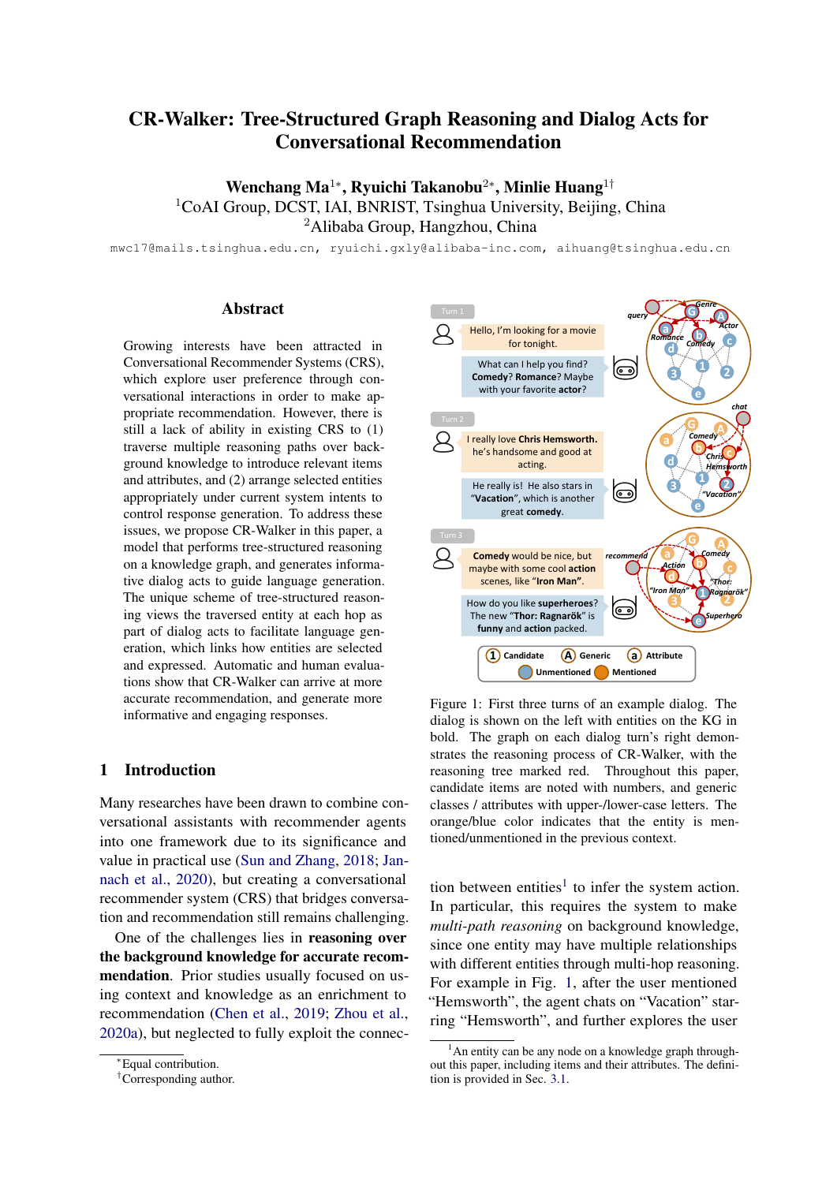hop (-depth=1 in Table [2\)](#page-5-1), there is an apparent decline in all Recall@k. R-GCN+GPT shares a similar framework with CR-Walker-depth=1 which directly recommends items using R-GCN, and CR-Walker outperforms it much on item recommendation. These results demonstrate that two-hop graph reasoning better exploits the connection between entities by exploring intermediate entities, and it is crucial for successful recommendation.

We then study the effect of tree width. We control the width of reasoning paths by setting the maximum number of entities  $m$  allowed to be selected at the first hop, and observe the performance in Recall@k, as shown in Fig. [3.](#page-6-0) Overall, the performance of CR-Walker increases as m goes up. Though there is a slight decrease in Recall@1 when the width grows to around 6, the performance gains in the end. This can be interpreted as multi-path reasoning is superior to single-path reasoning by providing the model with multiple guidance to arrive at the final recommendation.

# <span id="page-7-0"></span>5.3 Human Evaluation

In addition to automatic evaluation, we conduct point-wise human evaluation. 300 posts are randomly sampled from the test set. For each response generated by each model, we ask 3 worker from AMT to give their ratings according to each metric with a 3-point scale (3/2/1 for good/fair/bad respectively). The average score of each metric is reported. Among the metrics, *fluency* and *coherence* focus on the response generation quality, *informativeness* and *effectiveness* evaluate whether the conversation is well-grounded in a recommendation scenario. In particular, *informativeness* evaluates whether the system introduces rich movie knowledge, and *effectiveness* evaluates whether the system engages users towards finding a movie of interest successfully.

We present human evaluation results on ReDial in Table [5.](#page-7-1) We adopt GPT-2 as an additional baseline fine-tuned on the training set and generates response directly. We find that it serves as a solid baseline due to the success of PLMs in language generation and incorporating knowledge implicitly. Although GPT-2 cannot make actual recommendation since it does not "select" a movie, it outperforms all the previous baselines even on *informativeness* and *effectiveness*. This implies that finding the appropriate recommendation is insufficient to satisfy users under the conversational rec-

<span id="page-7-1"></span>

| Model            | Fluency | Coherence | Inform. | Effect. |
|------------------|---------|-----------|---------|---------|
| ReDial           | 2.31    | 1.96      | 1.69    | 1.74    |
| <b>DCR</b>       | 2.12    | 1.84      | 1.68    | 1.63    |
| <b>KBRD</b>      | 2.45    | 2.14      | 1.95    | 1.89    |
| <b>KGSF</b>      | 2.17    | 1.96      | 1.98    | 1.93    |
| $GPT-2$          | 2.47    | 2.24      | 2.05    | 1.98    |
| Human            | 2.52    | 2.34      | 2.18    | 2.10    |
| <b>CR-Walker</b> | $2.60*$ | $2.41*$   | $2.33*$ | $2.22*$ |

Table 5: Human evaluation on *ReDial*. *Human* responses come from the ground truth responses provided in the dataset. Numbers marked with \* indicate that the improvement is statistically significant (t-test with p-value  $< 0.05$ ).

<span id="page-7-2"></span>

| Model          | Fluency | Coherence | Inform. | Effect. |
|----------------|---------|-----------|---------|---------|
| $Human(+)$     | 2.54    | 2.38      | 2.26    | 2.15    |
| $CR-Walker(+)$ | 2.61    | 2.41      | 2.33    | 2.23    |
| $Human(-)$     | 2.46    | 2.23      | 1.99    | 1.98    |
| $CR-Walker(-)$ | 2.57    | 2.41      | 2.33    | 2.18    |

Table 6: Human vs. CR-Walker. (+) and (-) indicate the subset of responses where two competitors share the same intent and pose different intent respectively.

ommendation setting, but the quality of natural language may also determine how well recommendations will be accepted. CR-Walker, equipping the PLM with external knowledge and reasoning ability, further boosts GPT-2's performance by providing interpretable recommendation through utterance. Among all the metrics, CR-Walker improves informativeness and effectiveness more significantly. We observe that CR-Walker can generate utterance with more detailed attribute information to support recommendation compared to GPT-2 alone. This demonstrates that CR-Walker succeeds in generating engaging responses with tree-structured dialog acts beyond PLMs.

We further study why CR-Walker can outperform human responses. In terms of the system action, the intent accuracy of CR-Walker reaches only 67.8%, but we find that a different intent from the human's choice sometimes results in better informativeness and effectiveness. We calculate the score separately for humans and CR-Walker based on whether the intent selection is the same or different in Table [6.](#page-7-2) For identical intents, CR-Walker's improvements on four metrics are all marginal, as the improvement only comes from providing more information at the first hop reasoning. For different intents, however, the human performance drops remarkably, while our performance remains consistent. We observe several samples and find that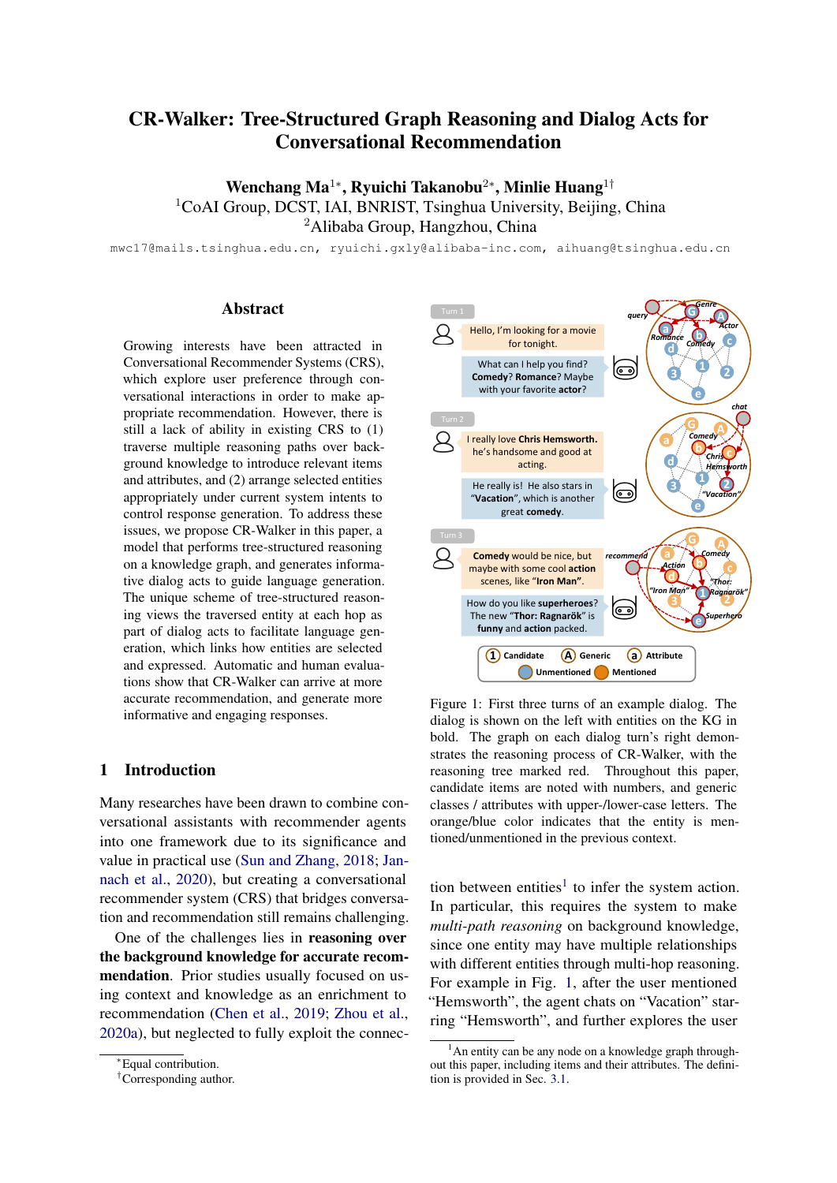the human usually performs perfunctory chit-chat like "haha" or "lol" in these cases. By contrast, CR-Walker replies with a relevant query or appropriate recommendation<sup>[6](#page-8-8)</sup>. This implies that the score advantage may come from the explicit reasoning on system actions that CR-Walker learns.

# 5.4 Recommendations in Dialog Flow

We also analyze the flow of recommended items throughout conversation among various interaction cases, where we roughly categorize the flow into two patterns. In one pattern, the seeker chats around a fixed topic of interest and ask for similar recommendations. This pattern is common on Redial, and CR-Walker efficiently handles it by making appropriate recommendation through tree structure reasoning. However, in a less common case where user suddenly change to a new topic, earlier recommendations would have little effect on the latter ones. In these cases, reasoning on previous items may result in inappropriate recommendations. In practice, we weigh the two patterns by setting the maximum length of dialog history  $l_{max}$ , where we only used last  $l_{max}$  utterances in D to compute utterance embedding and user portrait. When we set  $l_{max} = 3$ , we empirically find CR-Walker can handle most topic changes while still providing appropriate recommendation during interaction.

# 6 Conclusion and Future Work

We have presented CR-Walker, a conversational recommender system that applies tree-structured reasoning and dialog acts. By leveraging intermediate entities on the reasoning tree as additional guidance, CR-Walker better exploits the connection between entities, which leads to more accurate recommendation and informative response generation. Automatic and human evaluations demonstrate CR-Walker's effectiveness in both conversation and recommendation. It is worth noting that the dialog acts used in CR-Walker are automatically obtained by entity linking to a KG with simple heuristics. Therefore, our work can be easily applied to different conversational recommendation scenarios.

There are still some topics to be explored based on CR-Walker. It would be promising to equip CR-Walker with a language understanding module to capture users' negative feedback and propose other reasoning rules to handle such situations. An

efficient way to learn reasoning more than two hops can be investigated in the future as well.

# Acknowledgement

This work was supported by the National Science Foundation for Distinguished Young Scholars (with No. 62125604) and the NSFC projects (Key project with No. 61936010 and regular project with No. 61876096). This work was also supported by the Guoqiang Institute of Tsinghua University, with Grant No. 2019GQG1 and 2020GQG0005.

# References

- <span id="page-8-6"></span>Sören Auer, Christian Bizer, Georgi Kobilarov, Jens Lehmann, Richard Cyganiak, and Zachary Ives. 2007. Dbpedia: A nucleus for a web of open data. In *The semantic web*, pages 722–735. Springer.
- <span id="page-8-1"></span>Qibin Chen, Junyang Lin, Yichang Zhang, Ming Ding, Yukuo Cen, Hongxia Yang, and Jie Tang. 2019. Towards knowledge-based recommender dialog system. In *Proceedings of the 2019 Conference on Empirical Methods in Natural Language Processing and the 9th International Joint Conference on Natural Language Processing (EMNLP-IJCNLP)*, pages 1803–1813.
- <span id="page-8-3"></span>Konstantina Christakopoulou, Alex Beutel, Rui Li, Sagar Jain, and Ed H Chi. 2018. Q&r: A twostage approach toward interactive recommendation. In *Proceedings of the 24th ACM SIGKDD International Conference on Knowledge Discovery & Data Mining*, pages 139–148.
- <span id="page-8-2"></span>Konstantina Christakopoulou, Filip Radlinski, and Katia Hofmann. 2016. Towards conversational recommender systems. In *Proceedings of the 22nd ACM SIGKDD international conference on knowledge discovery and data mining*, pages 815–824.
- <span id="page-8-5"></span>Jacob Devlin, Ming-Wei Chang, Kenton Lee, and Kristina Toutanova. 2019. Bert: Pre-training of deep bidirectional transformers for language understanding. In *Proceedings of the 2019 Conference of the North American Chapter of the Association for Computational Linguistics: Human Language Technologies, Volume 1 (Long and Short Papers)*, pages 4171–4186.
- <span id="page-8-7"></span>Ari Holtzman, Jan Buys, Li Du, Maxwell Forbes, and Yejin Choi. 2020. The curious case of neural text degeneration. In *Proceedings of the 8th International Conference on Learning Representations*.
- <span id="page-8-0"></span>Dietmar Jannach, Ahtsham Manzoor, Wanling Cai, and Li Chen. 2020. A survey on conversational recommender systems. *arXiv preprint arXiv:2004.00646*.
- <span id="page-8-4"></span>Dongyeop Kang, Anusha Balakrishnan, Pararth Shah, Paul A Crook, Y-Lan Boureau, and Jason Weston.

<span id="page-8-8"></span><sup>&</sup>lt;sup>6</sup>The case study is provided in the appendix.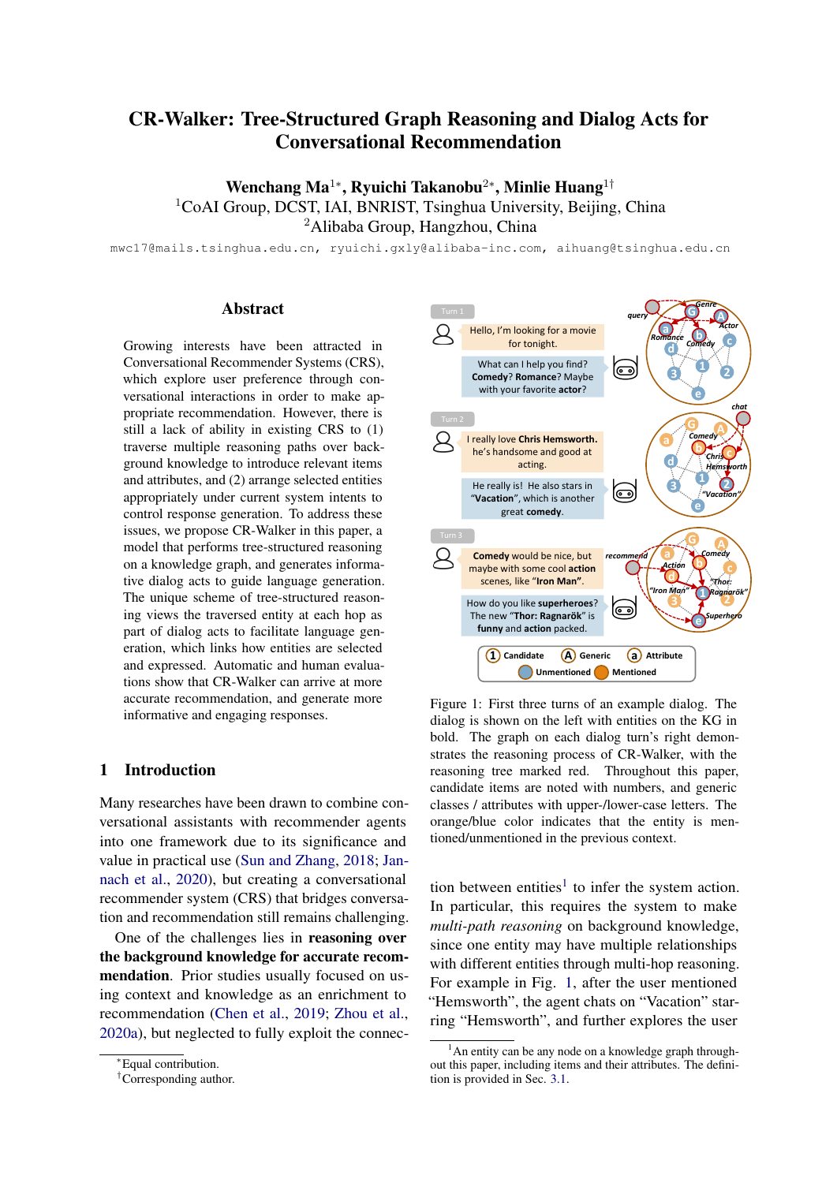2019. Recommendation as a communication game: Self-supervised bot-play for goal-oriented dialogue. In *Proceedings of the 2019 Conference on Empirical Methods in Natural Language Processing and the 9th International Joint Conference on Natural Language Processing (EMNLP-IJCNLP)*, pages 1951– 1961.

- <span id="page-9-2"></span>Wenqiang Lei, Xiangnan He, Yisong Miao, Qingyun Wu, Richang Hong, Min-Yen Kan, and Tat-Seng Chua. 2020a. Estimation-action-reflection: Towards deep interaction between conversational and recommender systems. In *Proceedings of the 13th International Conference on Web Search and Data Mining*, pages 304–312.
- <span id="page-9-3"></span>Wenqiang Lei, Gangyi Zhang, Xiangnan He, Yisong Miao, Xiang Wang, Liang Chen, and Tat-Seng Chua. 2020b. Interactive path reasoning on graph for conversational recommendation. In *Proceedings of the 26th ACM SIGKDD International Conference on Knowledge Discovery & Data Mining*, pages 2073– 2083.
- <span id="page-9-16"></span>Jiwei Li, Michel Galley, Chris Brockett, Jianfeng Gao, and Bill Dolan. 2016. A diversity-promoting objective function for neural conversation models. In *Proceedings of the 2016 Conference of the North American Chapter of the Association for Computational Linguistics: Human Language Technologies*, pages 110–119.
- <span id="page-9-5"></span>Raymond Li, Samira Ebrahimi Kahou, Hannes Schulz, Vincent Michalski, Laurent Charlin, and Chris Pal. 2018. Towards deep conversational recommendations. In *Advances in neural information processing systems*, pages 9725–9735.
- <span id="page-9-6"></span>Lizi Liao, Ryuichi Takanobu, Yunshan Ma, Xun Yang, Minlie Huang, and Tat-Seng Chua. 2019. Deep conversational recommender in travel. *arXiv preprint arXiv:1907.00710*.
- <span id="page-9-7"></span>Zeming Liu, Haifeng Wang, Zheng-Yu Niu, Hua Wu, Wanxiang Che, and Ting Liu. 2020. Towards conversational recommendation over multi-type dialogs. In *Proceedings of the 58th Annual Meeting of the Association for Computational Linguistics*, pages 1036–1049.
- <span id="page-9-1"></span>Seungwhan Moon, Pararth Shah, Anuj Kumar, and Rajen Subba. 2019. Opendialkg: Explainable conversational reasoning with attention-based walks over knowledge graphs. In *Proceedings of the 57th Annual Meeting of the Association for Computational Linguistics*, pages 845–854.
- <span id="page-9-13"></span>Alec Radford, Jeffrey Wu, Rewon Child, David Luan, Dario Amodei, and Ilya Sutskever. 2019. Language models are unsupervised multitask learners. *OpenAI Blog*, 1(8):9.
- <span id="page-9-12"></span>Michael Schlichtkrull, Thomas N Kipf, Peter Bloem, Rianne van den Berg, Ivan Titov, and Max Welling. 2018. Modeling relational data with graph convolutional networks. In *Proceedings of the 15th*

*International Conference on Extended Semantic Web Conference, ESWC 2018*, pages 593–607. Springer/Verlag.

- <span id="page-9-15"></span>Robyn Speer, Joshua Chin, and Catherine Havasi. 2017. Conceptnet 5.5: an open multilingual graph of general knowledge. In *Proceedings of the Thirty-First AAAI Conference on Artificial Intelligence*, pages 4444–4451.
- <span id="page-9-0"></span>Yueming Sun and Yi Zhang. 2018. Conversational recommender system. In *Proceedings of the 41st International ACM SIGIR Conference on Research & Development in Information Retrieval*, pages 235–244.
- <span id="page-9-11"></span>Ryuichi Takanobu, Runze Liang, and Minlie Huang. 2020. Multi-agent task-oriented dialog policy learning with role-aware reward decomposition. In *Proceedings of the 58th Annual Meeting of the Association for Computational Linguistics*, pages 625–638.
- <span id="page-9-10"></span>Ryuichi Takanobu, Hanlin Zhu, and Minlie Huang. 2019. Guided dialog policy learning: Reward estimation for multi-domain task-oriented dialog. In *Proceedings of the 2019 Conference on Empirical Methods in Natural Language Processing and the 9th International Joint Conference on Natural Language Processing (EMNLP-IJCNLP)*, pages 100– 110.
- <span id="page-9-8"></span>Dai Hoang Tran, Quan Z Sheng, Wei Emma Zhang, Salma Abdalla Hamad, Munazza Zaib, Nguyen H Tran, Lina Yao, and Nguyen Lu Dang Khoa. 2020. Deep conversational recommender systems: A new frontier for goal-oriented dialogue systems. *arXiv preprint arXiv:2004.13245*.
- <span id="page-9-9"></span>David R Traum. 1999. Speech acts for dialogue agents. In *Foundations of rational agency*, pages 169–201. Springer.
- <span id="page-9-14"></span>Ashish Vaswani, Noam Shazeer, Niki Parmar, Jakob Uszkoreit, Llion Jones, Aidan N Gomez, Łukasz Kaiser, and Illia Polosukhin. 2017. Attention is all you need. In *Advances in neural information processing systems*, pages 5998–6008.
- <span id="page-9-18"></span>Thomas Wolf, Julien Chaumond, Lysandre Debut, Victor Sanh, Clement Delangue, Anthony Moi, Pierric Cistac, Morgan Funtowicz, Joe Davison, Sam Shleifer, et al. 2020. Transformers: State-of-theart natural language processing. In *Proceedings of the 2020 Conference on Empirical Methods in Natural Language Processing: System Demonstrations*, pages 38–45.
- <span id="page-9-17"></span>Wenquan Wu, Zhen Guo, Xiangyang Zhou, Hua Wu, Xiyuan Zhang, Rongzhong Lian, and Haifeng Wang. 2019. Proactive human-machine conversation with explicit conversation goal. In *Proceedings of the 57th Annual Meeting of the Association for Computational Linguistics*, pages 3794–3804.
- <span id="page-9-4"></span>Hu Xu, Seungwhan Moon, Honglei Liu, Bing Liu, Pararth Shah, and S Yu Philip. 2020. User memory reasoning for conversational recommendation. In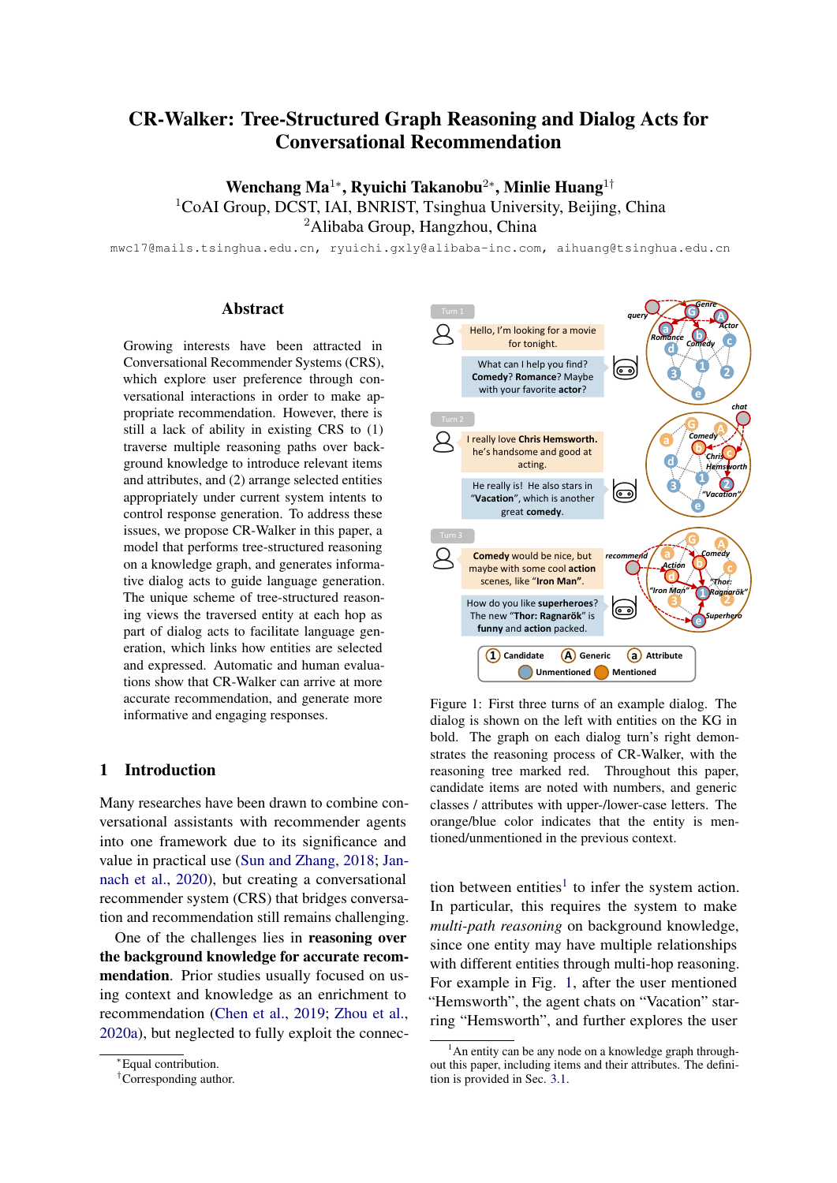*Proceedings of the 28th International Conference on Computational Linguistics*, pages 5288–5308.

- <span id="page-10-4"></span>Tong Yu, Yilin Shen, and Hongxia Jin. 2019. A visual dialog augmented interactive recommender system. In *Proceedings of the 25th ACM SIGKDD International Conference on Knowledge Discovery & Data Mining*, pages 157–165.
- <span id="page-10-5"></span>Ruiyi Zhang, Tong Yu, Yilin Shen, Hongxia Jin, and Changyou Chen. 2019. Text-based interactive recommendation via constraint-augmented reinforcement learning. In *Advances in Neural Information Processing Systems*, pages 15214–15224.
- <span id="page-10-2"></span>Xiaoying Zhang, Hong Xie, Hang Li, and John CS Lui. 2020. Conversational contextual bandit: Algorithm and application. In *Proceedings of The Web Conference 2020*, pages 662–672.
- <span id="page-10-1"></span>Yongfeng Zhang, Xu Chen, Qingyao Ai, Liu Yang, and W Bruce Croft. 2018. Towards conversational search and recommendation: System ask, user respond. In *Proceedings of the 27th ACM International Conference on Information and Knowledge Management*, pages 177–186.
- <span id="page-10-0"></span>Kun Zhou, Wayne Xin Zhao, Shuqing Bian, Yuanhang Zhou, Ji-Rong Wen, and Jingsong Yu. 2020a. Improving conversational recommender systems via knowledge graph based semantic fusion. In *Proceedings of the 26th ACM SIGKDD International Conference on Knowledge Discovery & Data Mining*, pages 1006–1014.
- <span id="page-10-6"></span>Kun Zhou, Yuanhang Zhou, Wayne Xin Zhao, Xiaoke Wang, and Ji-Rong Wen. 2020b. Towards topicguided conversational recommender system. In *Proceedings of the 28th International Conference on Computational Linguistics*, pages 4128–4139.
- <span id="page-10-3"></span>Jie Zou, Yifan Chen, and Evangelos Kanoulas. 2020. Towards question-based recommender systems. In *Proceedings of the 43rd International ACM SIGIR Conference on Research and Development in Information Retrieval*, pages 881–890.

# A Notation

Notations used in this paper are summarized in Table [7.](#page-10-7)

<span id="page-10-7"></span>

| Notation                   | Description                               |
|----------------------------|-------------------------------------------|
| e, E                       | Entity, entity set                        |
| r, R                       | Relation, relation set                    |
| t.                         | Dialog turn                               |
| $N_{e}^{r}$                | Neighbors of $e$ in relation $r$          |
| $Z_e^{(n)}$                | Neighbors of $e$ at $n$ -th hop reasoning |
| $h_{\scriptscriptstyle e}$ | Entity embedding of $e$                   |
| $\boldsymbol{u}_t$         | Utterance embedding                       |
| $\bm{p}_t$                 | User portrait                             |
| $\mathbf{f}_{t}^{(n)}$     | Entity set at $n$ -th hop reasoning       |
| А                          | Dialog act                                |

Table 7: Notations used in the CR-Walker.

# B Pseudocode

The entire reasoning and training process of CR-Walker is described in Algorithm [1.](#page-11-0)

### C Implementation Details

In experiments, we train the model on a single Tesla-V100 GPU with a learning rate of 1e-3, batch size of 36, and max epoch of 60. *Adam* is used as the optimization algorithm, with a weight decay of 1e-2. We set the max number of selection at the first hop  $m = 5$  during training, and used negative sampling for the candidate items (second hop when system intent is recommend). The ratio between negative and positive samples is set to 5. The dimension of entity embedding  $d$  is set to 128. The layer size of R-GCN L is set to 1. BERT-base and GPT-2-medium are applied from [Wolf et al.](#page-9-18) [\(2020\)](#page-9-18) and the parameters of the BERT encoder are frozen during the training process. The weights of graph walker loss at each hop are  $\lambda_1 = 1, \lambda_2 = 0.1$  for GoRecDial and  $\lambda_1 = 1, \lambda_2 = 1$  for Redial, respectively. During inference, we apply  $\tau = 0.5$  as the entity selection threshold and  $p = 0.9$  for the response decoding strategy. Bag of words (BOW) of the movie description are encoded using a fully connected layer as additional features in GoRec-Dial.

During KG construction, the generic classes we introduce are the *director, actor, time, genre, subject* related to each movie. All entities are directly extracted from DBpedia, except for genres, which are taken from MovieLens. There are 12 types of relationships between entities, namely *actor of* / *director of* / *genre of* / *subject of* / *time of* / *is a*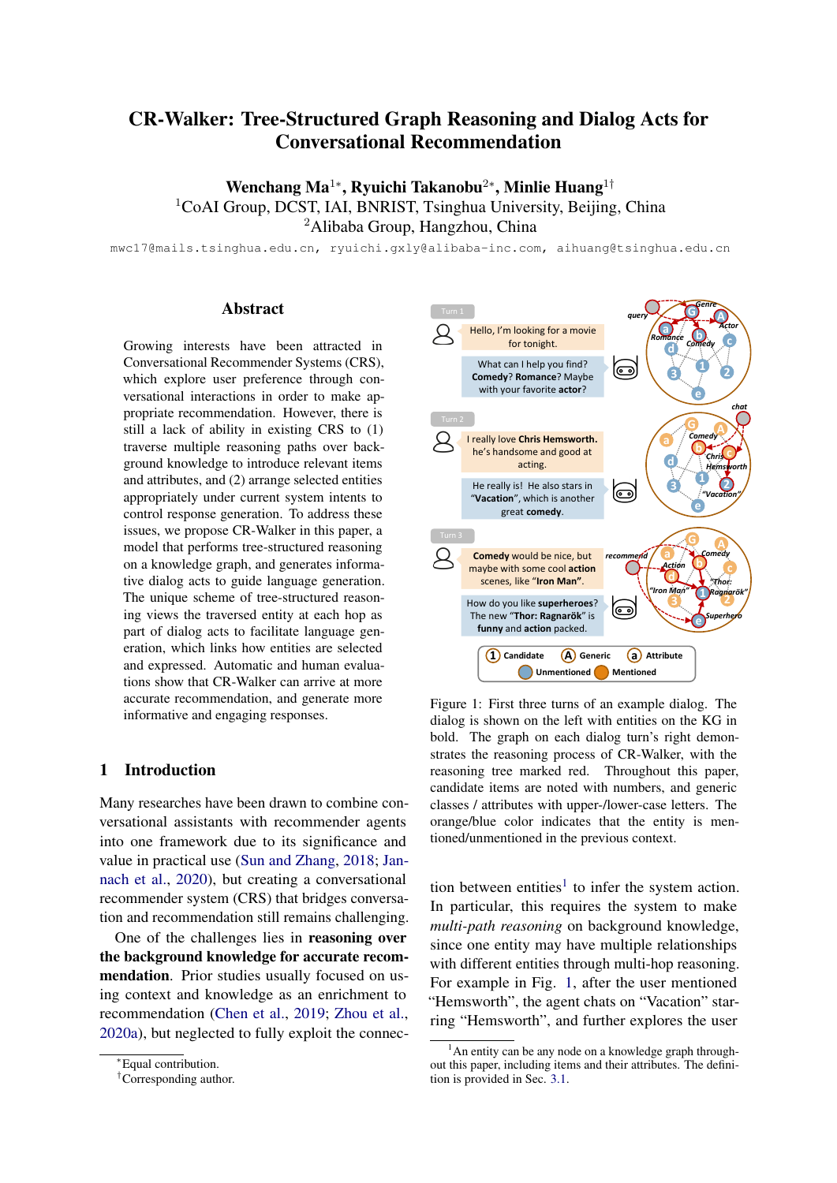|                         | <b>Algorithm 1: Conversational Recommen-</b>                        |
|-------------------------|---------------------------------------------------------------------|
|                         | dation Walker                                                       |
|                         | <b>Input:</b> Knowledge graph G, training data D                    |
|                         | 1 Initialize the parameters of intent classifier                    |
|                         | $\theta_i$ , walker cell $\theta_w$ and generation model $\theta_q$ |
| $\overline{2}$          | for $j = 1$ to $ D $ do                                             |
| 3                       | Set all the entities on $G$ "unmentioned"                           |
| $\overline{\mathbf{4}}$ | for $t = 1$ to $T_i$ do                                             |
|                         | // Intent selection                                                 |
| 5                       | Obtain utterance embedding $u_t$ w/                                 |
|                         | Eq. $1$                                                             |
| 6                       | Calculate $L_{int}$ based on Eq. 4                                  |
|                         | // Graph reasoning                                                  |
| 7                       | Obtain user portrait $p_t$ w/ Eq. 3                                 |
| 8                       | Update the entities mentioned in                                    |
|                         | user utterances on $G$ as                                           |
|                         | "mentioned"                                                         |
| 9                       | Set $E_t$ as singleton of the selected                              |
|                         | intent                                                              |
| 10                      | for <i>Hop</i> $n = 1$ to 2 do                                      |
| 11                      | Select entities using all elements                                  |
|                         | in $E_t$ w/ Eq. 7                                                   |
| 12                      | Calculate $L_i$ at current hop w/                                   |
|                         | Eq. 9                                                               |
| 13                      | Update the selected entities on                                     |
|                         | $G$ as "mentioned"                                                  |
| 14                      | Set $E_t$ as all selected entities at                               |
|                         | current hop                                                         |
| 15                      | end                                                                 |
|                         | // Response generation                                              |
| 16                      | Transform the reasoning tree into                                   |
|                         | the dialog act $A$                                                  |
| 17                      | Calculate $L_{gen}$ w/ Eq. 10                                       |
| 18                      | Perform gradient descent on $\angle$ w/                             |
|                         | Eq. 11                                                              |
| 19                      | end                                                                 |
| 20                      | end                                                                 |

<span id="page-11-0"></span>and their corresponding reverse relationships. The last relationship *is a* and its reverse appears between attributes and generic classes, while other relationships appear between attributes and candidate items. We then perform entity linking in each sentence, and use regular expressions to determine its intent and entities on the reasoning tree. Noting that no annotation is available in two datasets, and we label them in an automatic way. Dataset statistics are shown in table [8,](#page-11-1) while detailed entity and relation statistics for KG are listed in table [9.](#page-11-2)

<span id="page-11-1"></span>

|                     |             | Dataset Dialogs Utterances Items Entities Relations |            |              |
|---------------------|-------------|-----------------------------------------------------|------------|--------------|
| GoRecDial<br>ReDial | - 9K<br>10K | 171K 3.8K 19.3K<br>182K -                           | 6.9K 30.5K | 227K<br>393K |

Table 8: Dataset statistics.

<span id="page-11-2"></span>

| <b>Dataset</b>   |               | <b>GoRecdial</b> | <b>Redial</b> |
|------------------|---------------|------------------|---------------|
|                  | <b>Movies</b> | 3,782            | 6,924         |
|                  | Persons       | 7,936            | 12,803        |
|                  | Subjects      | 7,558            | 10,707        |
| <b>Entities</b>  | Genres        | 18               | 18            |
|                  | Times         | 7                | 12            |
|                  | Generals      | 7                | 7             |
|                  | total         | 19,308           | 30,471        |
|                  | actor of      | 16,472           | 27,639        |
|                  | director of   | 3.634            | 6.063         |
| <b>Relations</b> | genre of      | 8,386            | 18,259        |
|                  | subject of    | 61,940           | 107,356       |
|                  | time of       | 3.782            | 6,309         |
|                  | is a          | 19,478           | 30,715        |
|                  | total         | 227.384          | 392.682       |

Table 9: Knowledge graph statistics of GoRecdial and Redial. The total relations are twice the sum of 6 types of relationships listed on the table due to the addition of corresponding reverse relationships.

## D Case Study

We finally present an interactive case here to demonstrate our model's capability during interactive dialog and our model's explainable nature. The sequential dialog acts corresponding to the reasoning tree generated by CR-Walker is presented in Table [10](#page-12-0) along with the dialog. We mark all the mentioned entities either in bold (user turn) or in colors (system turn) according to the reasoning hop. The dialog starts with greetings between the user and CR-Walker, followed by CR-Walker proactively seeking user preference by asking which kind of movie he or she likes. The following few turns focus on recommending action movies, and CR-Walker provides an appropriate description of the recommended movies and some comments on *Arnold Schwarzenegger*'s muscles. The topic then switches to horror movies after the user explicitly requires scary ones, with the system recommending four appropriate movies within two turns. The dialog finally ends with the user expressing gratitude and CR-Walker expressing goodwill. Overall, at the utterance level, the whole dialog contains appropriate amounts of information and various dialog acts from the model, enabling the conversation to appear coherent and fluent.

The intermediate dialog acts that CR-walker gen-